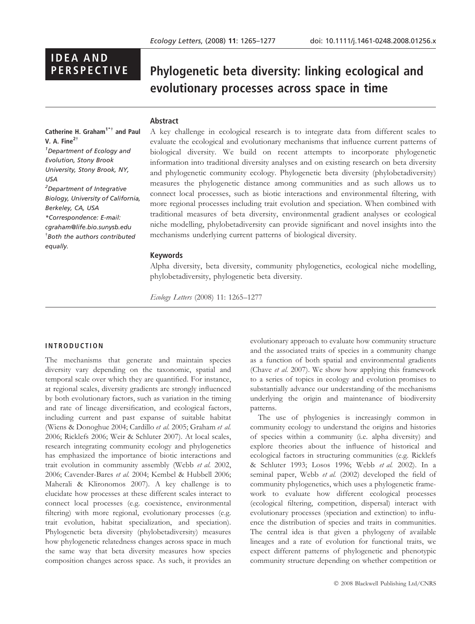# **IDEA AND<br>PERSPECTIVE**

# Phylogenetic beta diversity: linking ecological and evolutionary processes across space in time

# Abstract

Catherine H. Graham $1^{**}$  and Paul V. A. Fine $^{2+}$ 1 Department of Ecology and Evolution, Stony Brook University, Stony Brook, NY, USA 2 Department of Integrative Biology, University of California, Berkeley, CA, USA \*Correspondence: E-mail: cgraham@life.bio.sunysb.edu  $^\dagger$ Both the authors contributed equally.

A key challenge in ecological research is to integrate data from different scales to evaluate the ecological and evolutionary mechanisms that influence current patterns of biological diversity. We build on recent attempts to incorporate phylogenetic information into traditional diversity analyses and on existing research on beta diversity and phylogenetic community ecology. Phylogenetic beta diversity (phylobetadiversity) measures the phylogenetic distance among communities and as such allows us to connect local processes, such as biotic interactions and environmental filtering, with more regional processes including trait evolution and speciation. When combined with traditional measures of beta diversity, environmental gradient analyses or ecological niche modelling, phylobetadiversity can provide significant and novel insights into the mechanisms underlying current patterns of biological diversity.

#### Keywords

Alpha diversity, beta diversity, community phylogenetics, ecological niche modelling, phylobetadiversity, phylogenetic beta diversity.

Ecology Letters (2008) 11: 1265–1277

#### INTRODUCTION

The mechanisms that generate and maintain species diversity vary depending on the taxonomic, spatial and temporal scale over which they are quantified. For instance, at regional scales, diversity gradients are strongly influenced by both evolutionary factors, such as variation in the timing and rate of lineage diversification, and ecological factors, including current and past expanse of suitable habitat (Wiens & Donoghue 2004; Cardillo et al. 2005; Graham et al. 2006; Ricklefs 2006; Weir & Schluter 2007). At local scales, research integrating community ecology and phylogenetics has emphasized the importance of biotic interactions and trait evolution in community assembly (Webb et al. 2002, 2006; Cavender-Bares et al. 2004; Kembel & Hubbell 2006; Maherali & Klironomos 2007). A key challenge is to elucidate how processes at these different scales interact to connect local processes (e.g. coexistence, environmental filtering) with more regional, evolutionary processes (e.g. trait evolution, habitat specialization, and speciation). Phylogenetic beta diversity (phylobetadiversity) measures how phylogenetic relatedness changes across space in much the same way that beta diversity measures how species composition changes across space. As such, it provides an evolutionary approach to evaluate how community structure and the associated traits of species in a community change as a function of both spatial and environmental gradients (Chave et al. 2007). We show how applying this framework to a series of topics in ecology and evolution promises to substantially advance our understanding of the mechanisms underlying the origin and maintenance of biodiversity patterns.

The use of phylogenies is increasingly common in community ecology to understand the origins and histories of species within a community (i.e. alpha diversity) and explore theories about the influence of historical and ecological factors in structuring communities (e.g. Ricklefs & Schluter 1993; Losos 1996; Webb et al. 2002). In a seminal paper, Webb et al. (2002) developed the field of community phylogenetics, which uses a phylogenetic framework to evaluate how different ecological processes (ecological filtering, competition, dispersal) interact with evolutionary processes (speciation and extinction) to influence the distribution of species and traits in communities. The central idea is that given a phylogeny of available lineages and a rate of evolution for functional traits, we expect different patterns of phylogenetic and phenotypic community structure depending on whether competition or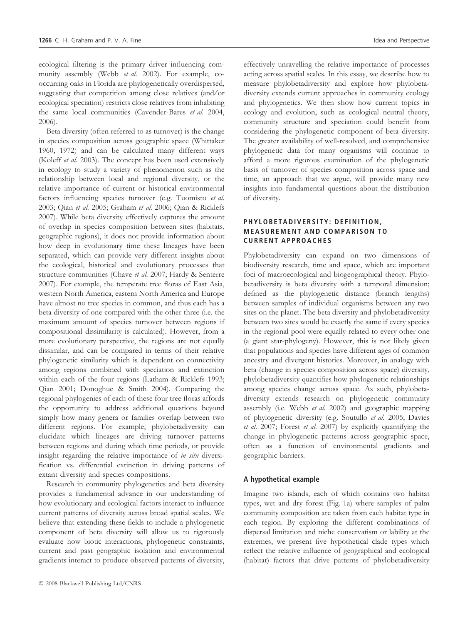ecological filtering is the primary driver influencing community assembly (Webb et al. 2002). For example, cooccurring oaks in Florida are phylogenetically overdispersed, suggesting that competition among close relatives (and/or ecological speciation) restricts close relatives from inhabiting the same local communities (Cavender-Bares et al. 2004,

2006). Beta diversity (often referred to as turnover) is the change in species composition across geographic space (Whittaker 1960, 1972) and can be calculated many different ways (Koleff et al. 2003). The concept has been used extensively in ecology to study a variety of phenomenon such as the relationship between local and regional diversity, or the relative importance of current or historical environmental factors influencing species turnover (e.g. Tuomisto et al. 2003; Qian et al. 2005; Graham et al. 2006; Qian & Ricklefs 2007). While beta diversity effectively captures the amount of overlap in species composition between sites (habitats, geographic regions), it does not provide information about how deep in evolutionary time these lineages have been separated, which can provide very different insights about the ecological, historical and evolutionary processes that structure communities (Chave et al. 2007; Hardy & Senterre 2007). For example, the temperate tree floras of East Asia, western North America, eastern North America and Europe have almost no tree species in common, and thus each has a beta diversity of one compared with the other three (i.e. the maximum amount of species turnover between regions if compositional dissimilarity is calculated). However, from a more evolutionary perspective, the regions are not equally dissimilar, and can be compared in terms of their relative phylogenetic similarity which is dependent on connectivity among regions combined with speciation and extinction within each of the four regions (Latham & Ricklefs 1993; Qian 2001; Donoghue & Smith 2004). Comparing the regional phylogenies of each of these four tree floras affords the opportunity to address additional questions beyond simply how many genera or families overlap between two different regions. For example, phylobetadiversity can elucidate which lineages are driving turnover patterns between regions and during which time periods, or provide insight regarding the relative importance of in situ diversification vs. differential extinction in driving patterns of extant diversity and species compositions.

Research in community phylogenetics and beta diversity provides a fundamental advance in our understanding of how evolutionary and ecological factors interact to influence current patterns of diversity across broad spatial scales. We believe that extending these fields to include a phylogenetic component of beta diversity will allow us to rigorously evaluate how biotic interactions, phylogenetic constraints, current and past geographic isolation and environmental gradients interact to produce observed patterns of diversity, effectively unravelling the relative importance of processes acting across spatial scales. In this essay, we describe how to measure phylobetadiversity and explore how phylobetadiversity extends current approaches in community ecology and phylogenetics. We then show how current topics in ecology and evolution, such as ecological neutral theory, community structure and speciation could benefit from considering the phylogenetic component of beta diversity. The greater availability of well-resolved, and comprehensive phylogenetic data for many organisms will continue to afford a more rigorous examination of the phylogenetic basis of turnover of species composition across space and time, an approach that we argue, will provide many new insights into fundamental questions about the distribution of diversity.

# PHYLOBETADIVERSITY: DEFINITION, MEASUREMENT AND COMPARISON TO CURRENT APPROACHES

Phylobetadiversity can expand on two dimensions of biodiversity research, time and space, which are important foci of macroecological and biogeographical theory. Phylobetadiversity is beta diversity with a temporal dimension; defined as the phylogenetic distance (branch lengths) between samples of individual organisms between any two sites on the planet. The beta diversity and phylobetadiversity between two sites would be exactly the same if every species in the regional pool were equally related to every other one (a giant star-phylogeny). However, this is not likely given that populations and species have different ages of common ancestry and divergent histories. Moreover, in analogy with beta (change in species composition across space) diversity, phylobetadiversity quantifies how phylogenetic relationships among species change across space. As such, phylobetadiversity extends research on phylogenetic community assembly (i.e. Webb et al. 2002) and geographic mapping of phylogenetic diversity (e.g. Soutullo et al. 2005; Davies et al. 2007; Forest et al. 2007) by explicitly quantifying the change in phylogenetic patterns across geographic space, often as a function of environmental gradients and geographic barriers.

## A hypothetical example

Imagine two islands, each of which contains two habitat types, wet and dry forest (Fig. 1a) where samples of palm community composition are taken from each habitat type in each region. By exploring the different combinations of dispersal limitation and niche conservatism or lability at the extremes, we present five hypothetical clade types which reflect the relative influence of geographical and ecological (habitat) factors that drive patterns of phylobetadiversity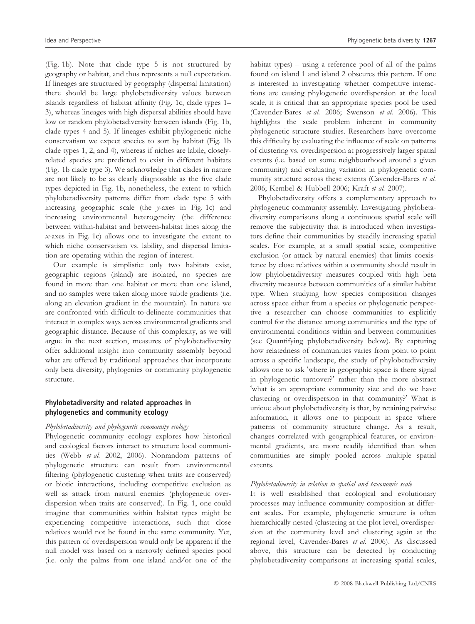(Fig. 1b). Note that clade type 5 is not structured by geography or habitat, and thus represents a null expectation. If lineages are structured by geography (dispersal limitation) there should be large phylobetadiversity values between islands regardless of habitat affinity (Fig. 1c, clade types 1– 3), whereas lineages with high dispersal abilities should have low or random phylobetadiversity between islands (Fig. 1b, clade types 4 and 5). If lineages exhibit phylogenetic niche conservatism we expect species to sort by habitat (Fig. 1b clade types 1, 2, and 4), whereas if niches are labile, closelyrelated species are predicted to exist in different habitats (Fig. 1b clade type 3). We acknowledge that clades in nature are not likely to be as clearly diagnosable as the five clade types depicted in Fig. 1b, nonetheless, the extent to which phylobetadiversity patterns differ from clade type 5 with increasing geographic scale (the y-axes in Fig. 1c) and increasing environmental heterogeneity (the difference between within-habitat and between-habitat lines along the x-axes in Fig. 1c) allows one to investigate the extent to which niche conservatism vs. lability, and dispersal limitation are operating within the region of interest.

Our example is simplistic: only two habitats exist, geographic regions (island) are isolated, no species are found in more than one habitat or more than one island, and no samples were taken along more subtle gradients (i.e. along an elevation gradient in the mountain). In nature we are confronted with difficult-to-delineate communities that interact in complex ways across environmental gradients and geographic distance. Because of this complexity, as we will argue in the next section, measures of phylobetadiversity offer additional insight into community assembly beyond what are offered by traditional approaches that incorporate only beta diversity, phylogenies or community phylogenetic structure.

# Phylobetadiversity and related approaches in phylogenetics and community ecology

#### Phylobetadiversity and phylogenetic community ecology

Phylogenetic community ecology explores how historical and ecological factors interact to structure local communities (Webb et al. 2002, 2006). Nonrandom patterns of phylogenetic structure can result from environmental filtering (phylogenetic clustering when traits are conserved) or biotic interactions, including competitive exclusion as well as attack from natural enemies (phylogenetic overdispersion when traits are conserved). In Fig. 1, one could imagine that communities within habitat types might be experiencing competitive interactions, such that close relatives would not be found in the same community. Yet, this pattern of overdispersion would only be apparent if the null model was based on a narrowly defined species pool (i.e. only the palms from one island and/or one of the habitat types) – using a reference pool of all of the palms found on island 1 and island 2 obscures this pattern. If one is interested in investigating whether competitive interactions are causing phylogenetic overdispersion at the local scale, it is critical that an appropriate species pool be used (Cavender-Bares et al. 2006; Swenson et al. 2006). This highlights the scale problem inherent in community phylogenetic structure studies. Researchers have overcome this difficulty by evaluating the influence of scale on patterns of clustering vs. overdispersion at progressively larger spatial extents (i.e. based on some neighbourhood around a given community) and evaluating variation in phylogenetic community structure across these extents (Cavender-Bares et al. 2006; Kembel & Hubbell 2006; Kraft et al. 2007).

Phylobetadiversity offers a complementary approach to phylogenetic community assembly. Investigating phylobetadiversity comparisons along a continuous spatial scale will remove the subjectivity that is introduced when investigators define their communities by steadily increasing spatial scales. For example, at a small spatial scale, competitive exclusion (or attack by natural enemies) that limits coexistence by close relatives within a community should result in low phylobetadiversity measures coupled with high beta diversity measures between communities of a similar habitat type. When studying how species composition changes across space either from a species or phylogenetic perspective a researcher can choose communities to explicitly control for the distance among communities and the type of environmental conditions within and between communities (see Quantifying phylobetadiversity below). By capturing how relatedness of communities varies from point to point across a specific landscape, the study of phylobetadiversity allows one to ask where in geographic space is there signal in phylogenetic turnover? rather than the more abstract what is an appropriate community size and do we have clustering or overdispersion in that community? What is unique about phylobetadiversity is that, by retaining pairwise information, it allows one to pinpoint in space where patterns of community structure change. As a result, changes correlated with geographical features, or environmental gradients, are more readily identified than when communities are simply pooled across multiple spatial extents.

#### Phylobetadiversity in relation to spatial and taxonomic scale

It is well established that ecological and evolutionary processes may influence community composition at different scales. For example, phylogenetic structure is often hierarchically nested (clustering at the plot level, overdispersion at the community level and clustering again at the regional level, Cavender-Bares et al. 2006). As discussed above, this structure can be detected by conducting phylobetadiversity comparisons at increasing spatial scales,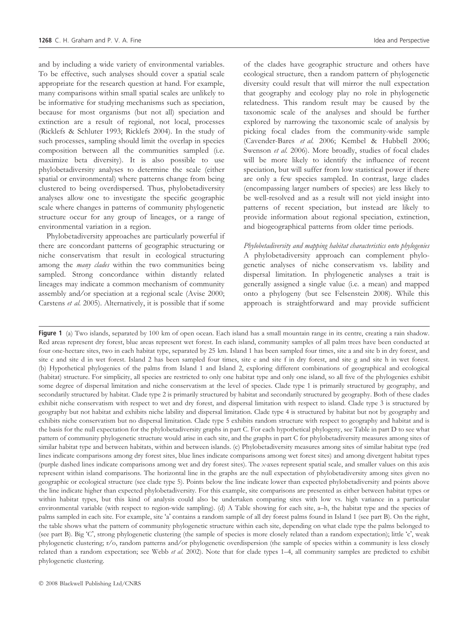and by including a wide variety of environmental variables. To be effective, such analyses should cover a spatial scale appropriate for the research question at hand. For example, many comparisons within small spatial scales are unlikely to be informative for studying mechanisms such as speciation, because for most organisms (but not all) speciation and extinction are a result of regional, not local, processes (Ricklefs & Schluter 1993; Ricklefs 2004). In the study of such processes, sampling should limit the overlap in species composition between all the communities sampled (i.e. maximize beta diversity). It is also possible to use phylobetadiversity analyses to determine the scale (either spatial or environmental) where patterns change from being clustered to being overdispersed. Thus, phylobetadiversity analyses allow one to investigate the specific geographic scale where changes in patterns of community phylogenetic structure occur for any group of lineages, or a range of environmental variation in a region.

Phylobetadiversity approaches are particularly powerful if there are concordant patterns of geographic structuring or niche conservatism that result in ecological structuring among the *many clades* within the two communities being sampled. Strong concordance within distantly related lineages may indicate a common mechanism of community assembly and/or speciation at a regional scale (Avise 2000; Carstens et al. 2005). Alternatively, it is possible that if some

of the clades have geographic structure and others have ecological structure, then a random pattern of phylogenetic diversity could result that will mirror the null expectation that geography and ecology play no role in phylogenetic relatedness. This random result may be caused by the taxonomic scale of the analyses and should be further explored by narrowing the taxonomic scale of analysis by picking focal clades from the community-wide sample (Cavender-Bares et al. 2006; Kembel & Hubbell 2006; Swenson et al. 2006). More broadly, studies of focal clades will be more likely to identify the influence of recent speciation, but will suffer from low statistical power if there are only a few species sampled. In contrast, large clades (encompassing larger numbers of species) are less likely to be well-resolved and as a result will not yield insight into patterns of recent speciation, but instead are likely to provide information about regional speciation, extinction, and biogeographical patterns from older time periods.

Phylobetadiversity and mapping habitat characteristics onto phylogenies A phylobetadiversity approach can complement phylogenetic analyses of niche conservatism vs. lability and dispersal limitation. In phylogenetic analyses a trait is generally assigned a single value (i.e. a mean) and mapped onto a phylogeny (but see Felsenstein 2008). While this approach is straightforward and may provide sufficient

Figure 1 (a) Two islands, separated by 100 km of open ocean. Each island has a small mountain range in its centre, creating a rain shadow. Red areas represent dry forest, blue areas represent wet forest. In each island, community samples of all palm trees have been conducted at four one-hectare sites, two in each habitat type, separated by 25 km. Island 1 has been sampled four times, site a and site b in dry forest, and site c and site d in wet forest. Island 2 has been sampled four times, site e and site f in dry forest, and site g and site h in wet forest. (b) Hypothetical phylogenies of the palms from Island 1 and Island 2, exploring different combinations of geographical and ecological (habitat) structure. For simplicity, all species are restricted to only one habitat type and only one island, so all five of the phylogenies exhibit some degree of dispersal limitation and niche conservatism at the level of species. Clade type 1 is primarily structured by geography, and secondarily structured by habitat. Clade type 2 is primarily structured by habitat and secondarily structured by geography. Both of these clades exhibit niche conservatism with respect to wet and dry forest, and dispersal limitation with respect to island. Clade type 3 is structured by geography but not habitat and exhibits niche lability and dispersal limitation. Clade type 4 is structured by habitat but not by geography and exhibits niche conservatism but no dispersal limitation. Clade type 5 exhibits random structure with respect to geography and habitat and is the basis for the null expectation for the phylobetadiversity graphs in part C. For each hypothetical phylogeny, see Table in part D to see what pattern of community phylogenetic structure would arise in each site, and the graphs in part C for phylobetadiversity measures among sites of similar habitat type and between habitats, within and between islands. (c) Phylobetadiversity measures among sites of similar habitat type (red lines indicate comparisons among dry forest sites, blue lines indicate comparisons among wet forest sites) and among divergent habitat types (purple dashed lines indicate comparisons among wet and dry forest sites). The x-axes represent spatial scale, and smaller values on this axis represent within island comparisons. The horizontal line in the graphs are the null expectation of phylobetadiversity among sites given no geographic or ecological structure (see clade type 5). Points below the line indicate lower than expected phylobetadiversity and points above the line indicate higher than expected phylobetadiversity. For this example, site comparisons are presented as either between habitat types or within habitat types, but this kind of analysis could also be undertaken comparing sites with low vs. high variance in a particular environmental variable (with respect to region-wide sampling). (d) A Table showing for each site, a–h, the habitat type and the species of palms sampled in each site. For example, site 'a' contains a random sample of all dry forest palms found in Island 1 (see part B). On the right, the table shows what the pattern of community phylogenetic structure within each site, depending on what clade type the palms belonged to (see part B). Big 'C', strong phylogenetic clustering (the sample of species is more closely related than a random expectation); little 'c', weak phylogenetic clustering; r⁄ o, random patterns and ⁄ or phylogenetic overdispersion (the sample of species within a community is less closely related than a random expectation; see Webb et al. 2002). Note that for clade types 1-4, all community samples are predicted to exhibit phylogenetic clustering.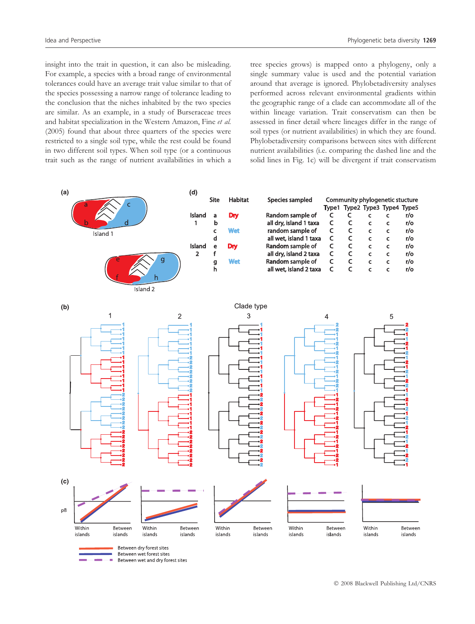insight into the trait in question, it can also be misleading. For example, a species with a broad range of environmental tolerances could have an average trait value similar to that of the species possessing a narrow range of tolerance leading to the conclusion that the niches inhabited by the two species are similar. As an example, in a study of Burseraceae trees and habitat specialization in the Western Amazon, Fine et al. (2005) found that about three quarters of the species were restricted to a single soil type, while the rest could be found in two different soil types. When soil type (or a continuous trait such as the range of nutrient availabilities in which a tree species grows) is mapped onto a phylogeny, only a single summary value is used and the potential variation around that average is ignored. Phylobetadiversity analyses performed across relevant environmental gradients within the geographic range of a clade can accommodate all of the within lineage variation. Trait conservatism can then be assessed in finer detail where lineages differ in the range of soil types (or nutrient availabilities) in which they are found. Phylobetadiversity comparisons between sites with different nutrient availabilities (i.e. comparing the dashed line and the solid lines in Fig. 1c) will be divergent if trait conservatism





Between wet and dry forest sites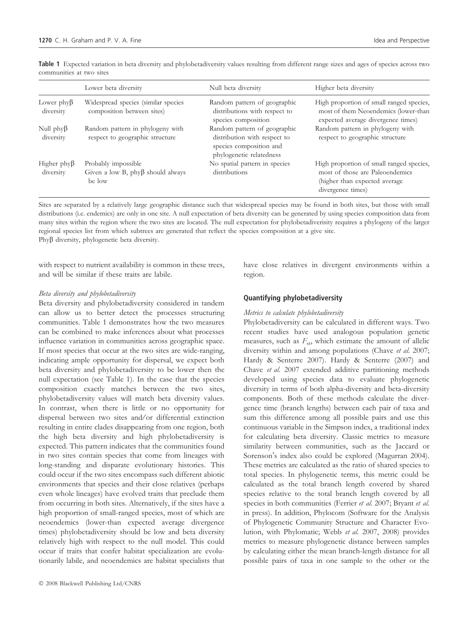|                                 | Lower beta diversity                                                      | Null beta diversity                                                                                                 | Higher beta diversity                                                                                                              |
|---------------------------------|---------------------------------------------------------------------------|---------------------------------------------------------------------------------------------------------------------|------------------------------------------------------------------------------------------------------------------------------------|
| Lower $phy\beta$<br>diversity   | Widespread species (similar species)<br>composition between sites)        | Random pattern of geographic<br>distributions with respect to<br>species composition                                | High proportion of small ranged species,<br>most of them Neoendemics (lower-than<br>expected average divergence times)             |
| Null phy $\beta$<br>diversity   | Random pattern in phylogeny with<br>respect to geographic structure       | Random pattern of geographic<br>distribution with respect to<br>species composition and<br>phylogenetic relatedness | Random pattern in phylogeny with<br>respect to geographic structure                                                                |
| Higher phy $\beta$<br>diversity | Probably impossible<br>Given a low B, phy $\beta$ should always<br>be low | No spatial pattern in species<br>distributions                                                                      | High proportion of small ranged species,<br>most of those are Paleoendemics<br>(higher than expected average)<br>divergence times) |

Table 1 Expected variation in beta diversity and phylobetadiversity values resulting from different range sizes and ages of species across two communities at two sites

Sites are separated by a relatively large geographic distance such that widespread species may be found in both sites, but those with small distributions (i.e. endemics) are only in one site. A null expectation of beta diversity can be generated by using species composition data from many sites within the region where the two sites are located. The null expectation for phylobetadiverisity requires a phylogeny of the larger regional species list from which subtrees are generated that reflect the species composition at a give site. Phyß diversity, phylogenetic beta diversity.

with respect to nutrient availability is common in these trees, and will be similar if these traits are labile.

#### Beta diversity and phylobetadiversity

Beta diversity and phylobetadiversity considered in tandem can allow us to better detect the processes structuring communities. Table 1 demonstrates how the two measures can be combined to make inferences about what processes influence variation in communities across geographic space. If most species that occur at the two sites are wide-ranging, indicating ample opportunity for dispersal, we expect both beta diversity and phylobetadiversity to be lower then the null expectation (see Table 1). In the case that the species composition exactly matches between the two sites, phylobetadiversity values will match beta diversity values. In contrast, when there is little or no opportunity for dispersal between two sites and/or differential extinction resulting in entire clades disappearing from one region, both the high beta diversity and high phylobetadiversity is expected. This pattern indicates that the communities found in two sites contain species that come from lineages with long-standing and disparate evolutionary histories. This could occur if the two sites encompass such different abiotic environments that species and their close relatives (perhaps even whole lineages) have evolved traits that preclude them from occurring in both sites. Alternatively, if the sites have a high proportion of small-ranged species, most of which are neoendemics (lower-than expected average divergence times) phylobetadiversity should be low and beta diversity relatively high with respect to the null model. This could occur if traits that confer habitat specialization are evolutionarily labile, and neoendemics are habitat specialists that have close relatives in divergent environments within a region.

# Quantifying phylobetadiversity

### Metrics to calculate phylobetadiversity

Phylobetadiversity can be calculated in different ways. Two recent studies have used analogous population genetic measures, such as  $F_{\rm st}$ , which estimate the amount of allelic diversity within and among populations (Chave et al. 2007; Hardy & Senterre 2007). Hardy & Senterre (2007) and Chave et al. 2007 extended additive partitioning methods developed using species data to evaluate phylogenetic diversity in terms of both alpha-diversity and beta-diversity components. Both of these methods calculate the divergence time (branch lengths) between each pair of taxa and sum this difference among all possible pairs and use this continuous variable in the Simpson index, a traditional index for calculating beta diversity. Classic metrics to measure similarity between communities, such as the Jaccard or Sorenson's index also could be explored (Magurran 2004). These metrics are calculated as the ratio of shared species to total species. In phylogenetic terms, this metric could be calculated as the total branch length covered by shared species relative to the total branch length covered by all species in both communities (Ferrier et al. 2007; Bryant et al. in press). In addition, Phylocom (Software for the Analysis of Phylogenetic Community Structure and Character Evolution, with Phylomatic; Webb et al. 2007, 2008) provides metrics to measure phylogenetic distance between samples by calculating either the mean branch-length distance for all possible pairs of taxa in one sample to the other or the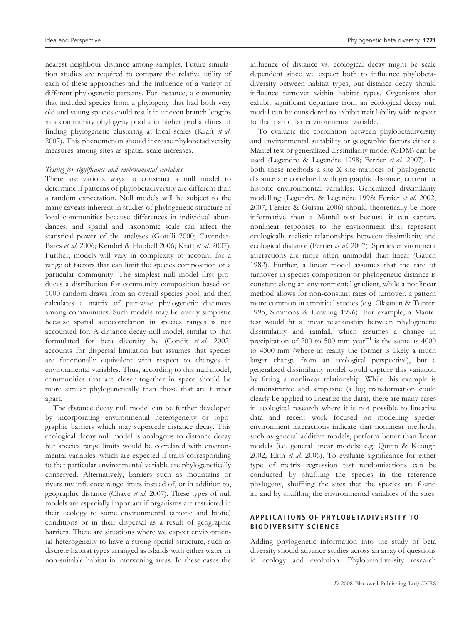nearest neighbour distance among samples. Future simulation studies are required to compare the relative utility of each of these approaches and the influence of a variety of different phylogenetic patterns. For instance, a community that included species from a phylogeny that had both very old and young species could result in uneven branch lengths in a community phylogeny pool a in higher probabilities of finding phylogenetic clustering at local scales (Kraft et al. 2007). This phenomenon should increase phylobetadiversity measures among sites as spatial scale increases.

#### Testing for significance and environmental variables

There are various ways to construct a null model to determine if patterns of phylobetadiversity are different than a random expectation. Null models will be subject to the many caveats inherent in studies of phylogenetic structure of local communities because differences in individual abundances, and spatial and taxonomic scale can affect the statistical power of the analyses (Gotelli 2000; Cavender-Bares et al. 2006; Kembel & Hubbell 2006; Kraft et al. 2007). Further, models will vary in complexity to account for a range of factors that can limit the species composition of a particular community. The simplest null model first produces a distribution for community composition based on 1000 random draws from an overall species pool, and then calculates a matrix of pair-wise phylogenetic distances among communities. Such models may be overly simplistic because spatial autocorrelation in species ranges is not accounted for. A distance decay null model, similar to that formulated for beta diversity by (Condit et al. 2002) accounts for dispersal limitation but assumes that species are functionally equivalent with respect to changes in environmental variables. Thus, according to this null model, communities that are closer together in space should be more similar phylogenetically than those that are further apart.

The distance decay null model can be further developed by incorporating environmental heterogeneity or topographic barriers which may supercede distance decay. This ecological decay null model is analogous to distance decay but species range limits would be correlated with environmental variables, which are expected if traits corresponding to that particular environmental variable are phylogenetically conserved. Alternatively, barriers such as mountains or rivers my influence range limits instead of, or in addition to, geographic distance (Chave et al. 2007). These types of null models are especially important if organisms are restricted in their ecology to some environmental (abiotic and biotic) conditions or in their dispersal as a result of geographic barriers. There are situations where we expect environmental heterogeneity to have a strong spatial structure, such as discrete habitat types arranged as islands with either water or non-suitable habitat in intervening areas. In these cases the influence of distance vs. ecological decay might be scale dependent since we expect both to influence phylobetadiversity between habitat types, but distance decay should influence turnover within habitat types. Organisms that exhibit significant departure from an ecological decay null model can be considered to exhibit trait lability with respect to that particular environmental variable.

To evaluate the correlation between phylobetadiversity and environmental suitability or geographic factors either a Mantel test or generalized dissimilarity model (GDM) can be used (Legendre & Legendre 1998; Ferrier et al. 2007). In both these methods a site X site matrices of phylogenetic distance are correlated with geographic distance, current or historic environmental variables. Generalized dissimilarity modelling (Legendre & Legendre 1998; Ferrier et al. 2002, 2007; Ferrier & Guisan 2006) should theoretically be more informative than a Mantel test because it can capture nonlinear responses to the environment that represent ecologically realistic relationships between dissimilarity and ecological distance (Ferrier et al. 2007). Species environment interactions are more often unimodal than linear (Gauch 1982). Further, a linear model assumes that the rate of turnover in species composition or phylogenetic distance is constant along an environmental gradient, while a nonlinear method allows for non-constant rates of turnover, a pattern more common in empirical studies (e.g. Oksanen & Tonteri 1995; Simmons & Cowling 1996). For example, a Mantel test would fit a linear relationship between phylogenetic dissimilarity and rainfall, which assumes a change in precipitation of 200 to 500 mm year<sup>-1</sup> is the same as  $4000$ to 4300 mm (where in reality the former is likely a much larger change from an ecological perspective), but a generalized dissimilarity model would capture this variation by fitting a nonlinear relationship. While this example is demonstrative and simplistic (a log transformation could clearly be applied to linearize the data), there are many cases in ecological research where it is not possible to linearize data and recent work focused on modelling species environment interactions indicate that nonlinear methods, such as general additive models, perform better than linear models (i.e. general linear models; e.g. Quinn & Keough 2002; Elith et al. 2006). To evaluate significance for either type of matrix regression test randomizations can be conducted by shuffling the species in the reference phylogeny, shuffling the sites that the species are found in, and by shuffling the environmental variables of the sites.

# APPLICATIONS OF PHYLOBETADIVERSITY TO BIODIVERSITY SCIENCE

Adding phylogenetic information into the study of beta diversity should advance studies across an array of questions in ecology and evolution. Phylobetadiversity research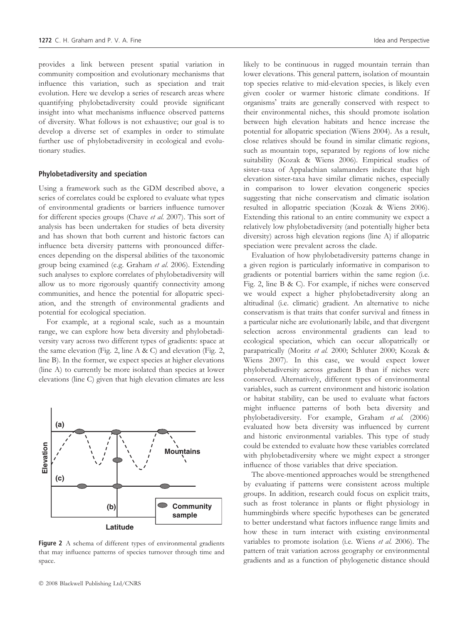provides a link between present spatial variation in community composition and evolutionary mechanisms that influence this variation, such as speciation and trait evolution. Here we develop a series of research areas where quantifying phylobetadiversity could provide significant insight into what mechanisms influence observed patterns of diversity. What follows is not exhaustive; our goal is to develop a diverse set of examples in order to stimulate further use of phylobetadiversity in ecological and evolutionary studies.

#### Phylobetadiversity and speciation

Using a framework such as the GDM described above, a series of correlates could be explored to evaluate what types of environmental gradients or barriers influence turnover for different species groups (Chave et al. 2007). This sort of analysis has been undertaken for studies of beta diversity and has shown that both current and historic factors can influence beta diversity patterns with pronounced differences depending on the dispersal abilities of the taxonomic group being examined (e.g. Graham et al. 2006). Extending such analyses to explore correlates of phylobetadiversity will allow us to more rigorously quantify connectivity among communities, and hence the potential for allopatric speciation, and the strength of environmental gradients and potential for ecological speciation.

For example, at a regional scale, such as a mountain range, we can explore how beta diversity and phylobetadiversity vary across two different types of gradients: space at the same elevation (Fig. 2, line A & C) and elevation (Fig. 2, line B). In the former, we expect species at higher elevations (line A) to currently be more isolated than species at lower elevations (line C) given that high elevation climates are less



Figure 2 A schema of different types of environmental gradients that may influence patterns of species turnover through time and space.

likely to be continuous in rugged mountain terrain than lower elevations. This general pattern, isolation of mountain top species relative to mid-elevation species, is likely even given cooler or warmer historic climate conditions. If organisms' traits are generally conserved with respect to their environmental niches, this should promote isolation between high elevation habitats and hence increase the potential for allopatric speciation (Wiens 2004). As a result, close relatives should be found in similar climatic regions, such as mountain tops, separated by regions of low niche suitability (Kozak & Wiens 2006). Empirical studies of sister-taxa of Appalachian salamanders indicate that high elevation sister-taxa have similar climatic niches, especially in comparison to lower elevation congeneric species suggesting that niche conservatism and climatic isolation resulted in allopatric speciation (Kozak & Wiens 2006). Extending this rational to an entire community we expect a relatively low phylobetadiversity (and potentially higher beta diversity) across high elevation regions (line A) if allopatric speciation were prevalent across the clade.

Evaluation of how phylobetadiversity patterns change in a given region is particularly informative in comparison to gradients or potential barriers within the same region (i.e. Fig. 2, line B & C). For example, if niches were conserved we would expect a higher phylobetadiversity along an altitudinal (i.e. climatic) gradient. An alternative to niche conservatism is that traits that confer survival and fitness in a particular niche are evolutionarily labile, and that divergent selection across environmental gradients can lead to ecological speciation, which can occur allopatrically or parapatrically (Moritz et al. 2000; Schluter 2000; Kozak & Wiens 2007). In this case, we would expect lower phylobetadiversity across gradient B than if niches were conserved. Alternatively, different types of environmental variables, such as current environment and historic isolation or habitat stability, can be used to evaluate what factors might influence patterns of both beta diversity and phylobetadiversity. For example, Graham et al. (2006) evaluated how beta diversity was influenced by current and historic environmental variables. This type of study could be extended to evaluate how these variables correlated with phylobetadiversity where we might expect a stronger influence of those variables that drive speciation.

The above-mentioned approaches would be strengthened by evaluating if patterns were consistent across multiple groups. In addition, research could focus on explicit traits, such as frost tolerance in plants or flight physiology in hummingbirds where specific hypotheses can be generated to better understand what factors influence range limits and how these in turn interact with existing environmental variables to promote isolation (i.e. Wiens et al. 2006). The pattern of trait variation across geography or environmental gradients and as a function of phylogenetic distance should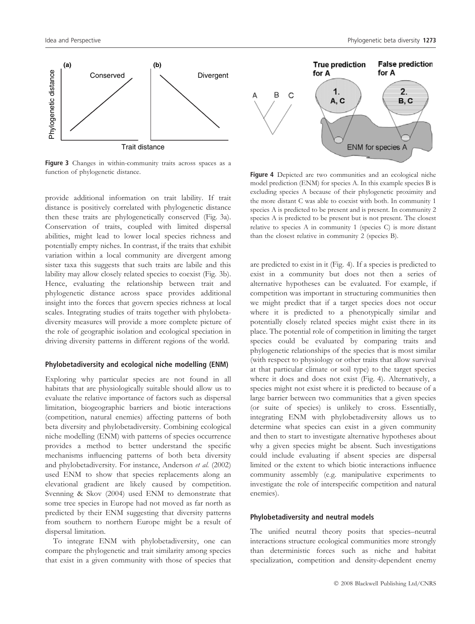

Figure 3 Changes in within-community traits across spaces as a function of phylogenetic distance.

provide additional information on trait lability. If trait distance is positively correlated with phylogenetic distance then these traits are phylogenetically conserved (Fig. 3a). Conservation of traits, coupled with limited dispersal abilities, might lead to lower local species richness and potentially empty niches. In contrast, if the traits that exhibit variation within a local community are divergent among sister taxa this suggests that such traits are labile and this lability may allow closely related species to coexist (Fig. 3b). Hence, evaluating the relationship between trait and phylogenetic distance across space provides additional insight into the forces that govern species richness at local scales. Integrating studies of traits together with phylobetadiversity measures will provide a more complete picture of the role of geographic isolation and ecological speciation in driving diversity patterns in different regions of the world.

# Phylobetadiversity and ecological niche modelling (ENM)

Exploring why particular species are not found in all habitats that are physiologically suitable should allow us to evaluate the relative importance of factors such as dispersal limitation, biogeographic barriers and biotic interactions (competition, natural enemies) affecting patterns of both beta diversity and phylobetadiversity. Combining ecological niche modelling (ENM) with patterns of species occurrence provides a method to better understand the specific mechanisms influencing patterns of both beta diversity and phylobetadiversity. For instance, Anderson et al. (2002) used ENM to show that species replacements along an elevational gradient are likely caused by competition. Svenning & Skov (2004) used ENM to demonstrate that some tree species in Europe had not moved as far north as predicted by their ENM suggesting that diversity patterns from southern to northern Europe might be a result of dispersal limitation.

To integrate ENM with phylobetadiversity, one can compare the phylogenetic and trait similarity among species that exist in a given community with those of species that



Figure 4 Depicted are two communities and an ecological niche model prediction (ENM) for species A. In this example species B is excluding species A because of their phylogenetic proximity and the more distant C was able to coexist with both. In community 1 species A is predicted to be present and is present. In community 2 species A is predicted to be present but is not present. The closest relative to species A in community 1 (species C) is more distant than the closest relative in community 2 (species B).

are predicted to exist in it (Fig. 4). If a species is predicted to exist in a community but does not then a series of alternative hypotheses can be evaluated. For example, if competition was important in structuring communities then we might predict that if a target species does not occur where it is predicted to a phenotypically similar and potentially closely related species might exist there in its place. The potential role of competition in limiting the target species could be evaluated by comparing traits and phylogenetic relationships of the species that is most similar (with respect to physiology or other traits that allow survival at that particular climate or soil type) to the target species where it does and does not exist (Fig. 4). Alternatively, a species might not exist where it is predicted to because of a large barrier between two communities that a given species (or suite of species) is unlikely to cross. Essentially, integrating ENM with phylobetadiversity allows us to determine what species can exist in a given community and then to start to investigate alternative hypotheses about why a given species might be absent. Such investigations could include evaluating if absent species are dispersal limited or the extent to which biotic interactions influence community assembly (e.g. manipulative experiments to investigate the role of interspecific competition and natural enemies).

#### Phylobetadiversity and neutral models

The unified neutral theory posits that species–neutral interactions structure ecological communities more strongly than deterministic forces such as niche and habitat specialization, competition and density-dependent enemy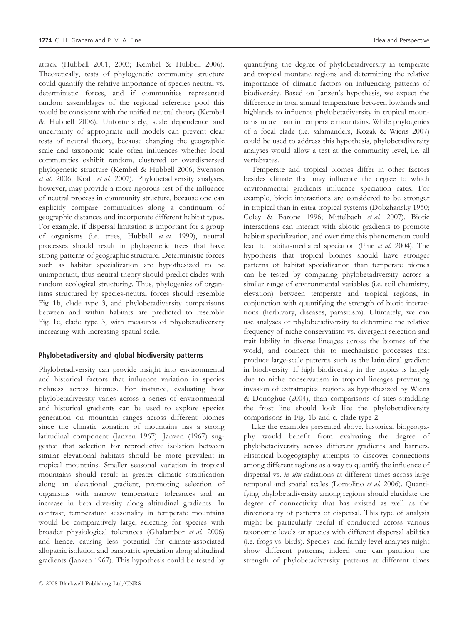attack (Hubbell 2001, 2003; Kembel & Hubbell 2006). Theoretically, tests of phylogenetic community structure could quantify the relative importance of species-neutral vs. deterministic forces, and if communities represented random assemblages of the regional reference pool this would be consistent with the unified neutral theory (Kembel & Hubbell 2006). Unfortunately, scale dependence and uncertainty of appropriate null models can prevent clear tests of neutral theory, because changing the geographic scale and taxonomic scale often influences whether local communities exhibit random, clustered or overdispersed phylogenetic structure (Kembel & Hubbell 2006; Swenson et al. 2006; Kraft et al. 2007). Phylobetadiversity analyses, however, may provide a more rigorous test of the influence of neutral process in community structure, because one can explicitly compare communities along a continuum of geographic distances and incorporate different habitat types. For example, if dispersal limitation is important for a group of organisms (i.e. trees, Hubbell et al. 1999), neutral processes should result in phylogenetic trees that have strong patterns of geographic structure. Deterministic forces such as habitat specialization are hypothesized to be unimportant, thus neutral theory should predict clades with random ecological structuring. Thus, phylogenies of organisms structured by species-neutral forces should resemble Fig. 1b, clade type 3, and phylobetadiversity comparisons between and within habitats are predicted to resemble Fig. 1c, clade type 3, with measures of phyobetadiversity increasing with increasing spatial scale.

## Phylobetadiversity and global biodiversity patterns

Phylobetadiversity can provide insight into environmental and historical factors that influence variation in species richness across biomes. For instance, evaluating how phylobetadiversity varies across a series of environmental and historical gradients can be used to explore species generation on mountain ranges across different biomes since the climatic zonation of mountains has a strong latitudinal component (Janzen 1967). Janzen (1967) suggested that selection for reproductive isolation between similar elevational habitats should be more prevalent in tropical mountains. Smaller seasonal variation in tropical mountains should result in greater climatic stratification along an elevational gradient, promoting selection of organisms with narrow temperature tolerances and an increase in beta diversity along altitudinal gradients. In contrast, temperature seasonality in temperate mountains would be comparatively large, selecting for species with broader physiological tolerances (Ghalambor et al. 2006) and hence, causing less potential for climate-associated allopatric isolation and parapatric speciation along altitudinal gradients (Janzen 1967). This hypothesis could be tested by

quantifying the degree of phylobetadiversity in temperate and tropical montane regions and determining the relative importance of climatic factors on influencing patterns of biodiversity. Based on Janzen's hypothesis, we expect the difference in total annual temperature between lowlands and highlands to influence phylobetadiversity in tropical mountains more than in temperate mountains. While phylogenies of a focal clade (i.e. salamanders, Kozak & Wiens 2007) could be used to address this hypothesis, phylobetadiversity analyses would allow a test at the community level, i.e. all vertebrates.

Temperate and tropical biomes differ in other factors besides climate that may influence the degree to which environmental gradients influence speciation rates. For example, biotic interactions are considered to be stronger in tropical than in extra-tropical systems (Dobzhansky 1950; Coley & Barone 1996; Mittelbach et al. 2007). Biotic interactions can interact with abiotic gradients to promote habitat specialization, and over time this phenomenon could lead to habitat-mediated speciation (Fine et al. 2004). The hypothesis that tropical biomes should have stronger patterns of habitat specialization than temperate biomes can be tested by comparing phylobetadiversity across a similar range of environmental variables (i.e. soil chemistry, elevation) between temperate and tropical regions, in conjunction with quantifying the strength of biotic interactions (herbivory, diseases, parasitism). Ultimately, we can use analyses of phylobetadiversity to determine the relative frequency of niche conservatism vs. divergent selection and trait lability in diverse lineages across the biomes of the world, and connect this to mechanistic processes that produce large-scale patterns such as the latitudinal gradient in biodiversity. If high biodiversity in the tropics is largely due to niche conservatism in tropical lineages preventing invasion of extratropical regions as hypothesized by Wiens & Donoghue (2004), than comparisons of sites straddling the frost line should look like the phylobetadiversity comparisons in Fig. 1b and c, clade type 2.

Like the examples presented above, historical biogeography would benefit from evaluating the degree of phylobetadiversity across different gradients and barriers. Historical biogeography attempts to discover connections among different regions as a way to quantify the influence of dispersal vs. in situ radiations at different times across large temporal and spatial scales (Lomolino et al. 2006). Quantifying phylobetadiversity among regions should elucidate the degree of connectivity that has existed as well as the directionality of patterns of dispersal. This type of analysis might be particularly useful if conducted across various taxonomic levels or species with different dispersal abilities (i.e. frogs vs. birds). Species- and family-level analyses might show different patterns; indeed one can partition the strength of phylobetadiversity patterns at different times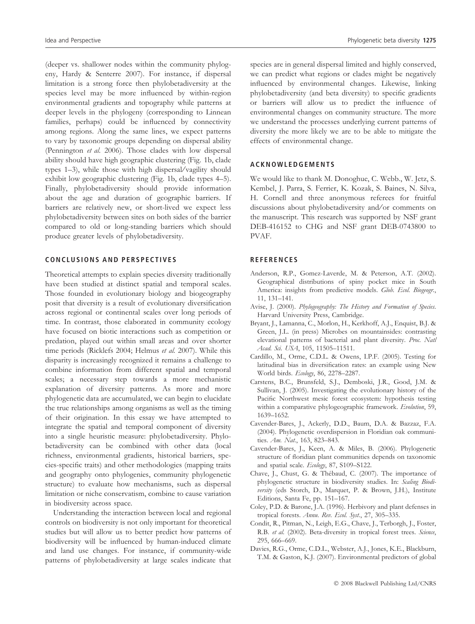(deeper vs. shallower nodes within the community phylogeny, Hardy & Senterre 2007). For instance, if dispersal limitation is a strong force then phylobetadiversity at the species level may be more influenced by within-region environmental gradients and topography while patterns at deeper levels in the phylogeny (corresponding to Linnean families, perhaps) could be influenced by connectivity among regions. Along the same lines, we expect patterns to vary by taxonomic groups depending on dispersal ability (Pennington et al. 2006). Those clades with low dispersal ability should have high geographic clustering (Fig. 1b, clade types  $1-3$ ), while those with high dispersal/vagility should exhibit low geographic clustering (Fig. 1b, clade types 4–5). Finally, phylobetadiversity should provide information about the age and duration of geographic barriers. If barriers are relatively new, or short-lived we expect less phylobetadiversity between sites on both sides of the barrier compared to old or long-standing barriers which should

#### CONCLUSIONS AND PERSPECTIVES

produce greater levels of phylobetadiversity.

Theoretical attempts to explain species diversity traditionally have been studied at distinct spatial and temporal scales. Those founded in evolutionary biology and biogeography posit that diversity is a result of evolutionary diversification across regional or continental scales over long periods of time. In contrast, those elaborated in community ecology have focused on biotic interactions such as competition or predation, played out within small areas and over shorter time periods (Ricklefs 2004; Helmus et al. 2007). While this disparity is increasingly recognized it remains a challenge to combine information from different spatial and temporal scales; a necessary step towards a more mechanistic explanation of diversity patterns. As more and more phylogenetic data are accumulated, we can begin to elucidate the true relationships among organisms as well as the timing of their origination. In this essay we have attempted to integrate the spatial and temporal component of diversity into a single heuristic measure: phylobetadiversity. Phylobetadiversity can be combined with other data (local richness, environmental gradients, historical barriers, species-specific traits) and other methodologies (mapping traits and geography onto phylogenies, community phylogenetic structure) to evaluate how mechanisms, such as dispersal limitation or niche conservatism, combine to cause variation in biodiversity across space.

Understanding the interaction between local and regional controls on biodiversity is not only important for theoretical studies but will allow us to better predict how patterns of biodiversity will be influenced by human-induced climate and land use changes. For instance, if community-wide patterns of phylobetadiversity at large scales indicate that species are in general dispersal limited and highly conserved, we can predict what regions or clades might be negatively influenced by environmental changes. Likewise, linking phylobetadiversity (and beta diversity) to specific gradients or barriers will allow us to predict the influence of environmental changes on community structure. The more we understand the processes underlying current patterns of diversity the more likely we are to be able to mitigate the effects of environmental change.

# ACKNOWLEDGEMENTS

We would like to thank M. Donoghue, C. Webb., W. Jetz, S. Kembel, J. Parra, S. Ferrier, K. Kozak, S. Baines, N. Silva, H. Cornell and three anonymous referees for fruitful discussions about phylobetadiversity and/or comments on the manuscript. This research was supported by NSF grant DEB-416152 to CHG and NSF grant DEB-0743800 to PVAF.

#### **REFERENCES**

- Anderson, R.P., Gomez-Laverde, M. & Peterson, A.T. (2002). Geographical distributions of spiny pocket mice in South America: insights from predictive models. Glob. Ecol. Biogeogr., 11, 131–141.
- Avise, J. (2000). Phylogeography: The History and Formation of Species. Harvard University Press, Cambridge.
- Bryant, J., Lamanna, C., Morlon, H., Kerkhoff, A.J., Enquist, B.J. & Green, J.L. (in press) Microbes on mountainsides: contrasting elevational patterns of bacterial and plant diversity. Proc. Natl Acad. Sci. USA, 105, 11505–11511.
- Cardillo, M., Orme, C.D.L. & Owens, I.P.F. (2005). Testing for latitudinal bias in diversification rates: an example using New World birds. Ecology, 86, 2278–2287.
- Carstens, B.C., Brunsfeld, S.J., Demboski, J.R., Good, J.M. & Sullivan, J. (2005). Investigating the evolutionary history of the Pacific Northwest mesic forest ecosystem: hypothesis testing within a comparative phylogeographic framework. Evolution, 59, 1639–1652.
- Cavender-Bares, J., Ackerly, D.D., Baum, D.A. & Bazzaz, F.A. (2004). Phylogenetic overdispersion in Floridian oak communities. Am. Nat., 163, 823-843.
- Cavender-Bares, J., Keen, A. & Miles, B. (2006). Phylogenetic structure of floridian plant communities depends on taxonomic and spatial scale. Ecology, 87, S109-S122.
- Chave, J., Chust, G. & Thébaud, C. (2007). The importance of phylogenetic structure in biodiversity studies. In: Scaling Biodiversity (eds Storch, D., Marquet, P. & Brown, J.H.), Institute Editions, Santa Fe, pp. 151–167.
- Coley, P.D. & Barone, J.A. (1996). Herbivory and plant defenses in tropical forests. Annu. Rev. Ecol. Syst., 27, 305-335.
- Condit, R., Pitman, N., Leigh, E.G., Chave, J., Terborgh, J., Foster, R.B. et al. (2002). Beta-diversity in tropical forest trees. Science, 295, 666–669.
- Davies, R.G., Orme, C.D.L., Webster, A.J., Jones, K.E., Blackburn, T.M. & Gaston, K.J. (2007). Environmental predictors of global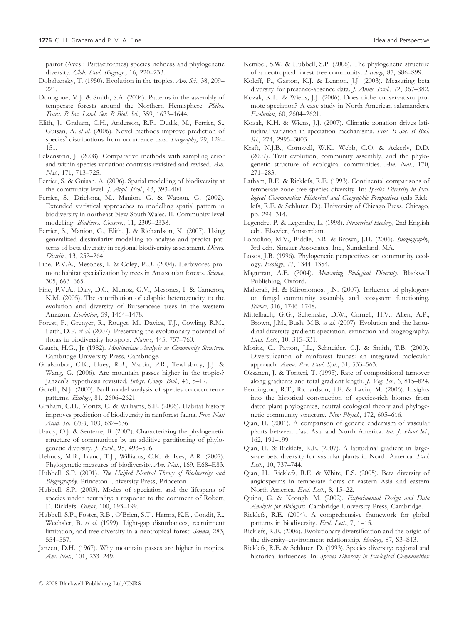parrot (Aves : Psittaciformes) species richness and phylogenetic diversity. Glob. Ecol. Biogeogr., 16, 220-233.

- Dobzhansky, T. (1950). Evolution in the tropics. Am. Sci., 38, 209– 221.
- Donoghue, M.J. & Smith, S.A. (2004). Patterns in the assembly of temperate forests around the Northern Hemisphere. Philos. Trans. R Soc. Lond. Ser. B Biol. Sci., 359, 1633–1644.
- Elith, J., Graham, C.H., Anderson, R.P., Dudik, M., Ferrier, S., Guisan, A. et al. (2006). Novel methods improve prediction of species' distributions from occurrence data. Ecography, 29, 129-151.
- Felsenstein, J. (2008). Comparative methods with sampling error and within species variation: contrasts revisited and revised. Am. Nat., 171, 713–725.
- Ferrier, S. & Guisan, A. (2006). Spatial modelling of biodiversity at the community level. *J. Appl. Ecol.*, 43, 393-404.
- Ferrier, S., Drielsma, M., Manion, G. & Watson, G. (2002). Extended statistical approaches to modelling spatial pattern in biodiversity in northeast New South Wales. II. Community-level modelling. Biodivers. Conserv., 11, 2309–2338.
- Ferrier, S., Manion, G., Elith, J. & Richardson, K. (2007). Using generalized dissimilarity modelling to analyse and predict patterns of beta diversity in regional biodiversity assessment. Divers. Distrib., 13, 252–264.
- Fine, P.V.A., Mesones, I. & Coley, P.D. (2004). Herbivores promote habitat specialization by trees in Amazonian forests. Science, 305, 663–665.
- Fine, P.V.A., Daly, D.C., Munoz, G.V., Mesones, I. & Cameron, K.M. (2005). The contribution of edaphic heterogeneity to the evolution and diversity of Burseraceae trees in the western Amazon. Evolution, 59, 1464–1478.
- Forest, F., Grenyer, R., Rouget, M., Davies, T.J., Cowling, R.M., Faith, D.P. et al. (2007). Preserving the evolutionary potential of floras in biodiversity hotspots. Nature, 445, 757-760.
- Gauch, H.G., Jr (1982). Multivariate Analysis in Community Structure. Cambridge University Press, Cambridge.
- Ghalambor, C.K., Huey, R.B., Martin, P.R., Tewksbury, J.J. & Wang, G. (2006). Are mountain passes higher in the tropics? Janzen's hypothesis revisited. Integr. Comp. Biol., 46, 5-17.
- Gotelli, N.J. (2000). Null model analysis of species co-occurrence patterns. Ecology, 81, 2606-2621.
- Graham, C.H., Moritz, C. & Williams, S.E. (2006). Habitat history improves prediction of biodiversity in rainforest fauna. Proc. Natl Acad. Sci. USA, 103, 632–636.
- Hardy, O.J. & Senterre, B. (2007). Characterizing the phylogenetic structure of communities by an additive partitioning of phylogenetic diversity. *J. Ecol.*, 95, 493-506.
- Helmus, M.R., Bland, T.J., Williams, C.K. & Ives, A.R. (2007). Phylogenetic measures of biodiversity. Am. Nat., 169, E68-E83.
- Hubbell, S.P. (2001). The Unified Neutral Theory of Biodiversity and Biogeography. Princeton University Press, Princeton.
- Hubbell, S.P. (2003). Modes of speciation and the lifespans of species under neutrality: a response to the comment of Robert, E. Ricklefs. Oikos, 100, 193–199.
- Hubbell, S.P., Foster, R.B., O'Brien, S.T., Harms, K.E., Condit, R., Wechsler, B. et al. (1999). Light-gap disturbances, recruitment limitation, and tree diversity in a neotropical forest. Science, 283, 554–557.
- Janzen, D.H. (1967). Why mountain passes are higher in tropics. Am. Nat., 101, 233-249.
- Kembel, S.W. & Hubbell, S.P. (2006). The phylogenetic structure of a neotropical forest tree community. Ecology, 87, S86–S99.
- Koleff, P., Gaston, K.J. & Lennon, J.J. (2003). Measuring beta diversity for presence-absence data. *J. Anim. Ecol.*, 72, 367–382.
- Kozak, K.H. & Wiens, J.J. (2006). Does niche conservatism promote speciation? A case study in North American salamanders. Evolution, 60, 2604–2621.
- Kozak, K.H. & Wiens, J.J. (2007). Climatic zonation drives latitudinal variation in speciation mechanisms. Proc. R Soc. B Biol. Sci., 274, 2995-3003.
- Kraft, N.J.B., Cornwell, W.K., Webb, C.O. & Ackerly, D.D. (2007). Trait evolution, community assembly, and the phylogenetic structure of ecological communities. Am. Nat., 170, 271–283.
- Latham, R.E. & Ricklefs, R.E. (1993). Continental comparisons of temperate-zone tree species diversity. In: Species Diversity in Ecological Communities: Historical and Geographic Perspectives (eds Ricklefs, R.E. & Schluter, D.), University of Chicago Press, Chicago, pp. 294–314.
- Legendre, P. & Legendre, L. (1998). Numerical Ecology, 2nd English edn. Elsevier, Amsterdam.
- Lomolino, M.V., Riddle, B.R. & Brown, J.H. (2006). Biogeography, 3rd edn. Sinauer Associates, Inc., Sunderland, MA.
- Losos, J.B. (1996). Phylogenetic perspectives on community ecology. Ecology, 77, 1344–1354.
- Magurran, A.E. (2004). Measuring Biological Diversity. Blackwell Publishing, Oxford.
- Maherali, H. & Klironomos, J.N. (2007). Influence of phylogeny on fungal community assembly and ecosystem functioning. Science, 316, 1746-1748.
- Mittelbach, G.G., Schemske, D.W., Cornell, H.V., Allen, A.P., Brown, J.M., Bush, M.B. et al. (2007). Evolution and the latitudinal diversity gradient: speciation, extinction and biogeography. Ecol. Lett., 10, 315–331.
- Moritz, C., Patton, J.L., Schneider, C.J. & Smith, T.B. (2000). Diversification of rainforest faunas: an integrated molecular approach. Annu. Rev. Ecol. Syst., 31, 533–563.
- Oksanen, J. & Tonteri, T. (1995). Rate of compositional turnover along gradients and total gradient length. *J. Veg. Sci.*, 6, 815–824.
- Pennington, R.T., Richardson, J.E. & Lavin, M. (2006). Insights into the historical construction of species-rich biomes from dated plant phylogenies, neutral ecological theory and phylogenetic community structure. New Phytol., 172, 605-616.
- Qian, H. (2001). A comparison of generic endemism of vascular plants between East Asia and North America. Int. J. Plant Sci., 162, 191–199.
- Qian, H. & Ricklefs, R.E. (2007). A latitudinal gradient in largescale beta diversity for vascular plants in North America. Ecol. Lett., 10, 737-744.
- Qian, H., Ricklefs, R.E. & White, P.S. (2005). Beta diversity of angiosperms in temperate floras of eastern Asia and eastern North America. Ecol. Lett., 8, 15-22.
- Quinn, G. & Keough, M. (2002). Experimental Design and Data Analysis for Biologists. Cambridge University Press, Cambridge.
- Ricklefs, R.E. (2004). A comprehensive framework for global patterns in biodiversity. Ecol. Lett., 7, 1-15.
- Ricklefs, R.E. (2006). Evolutionary diversification and the origin of the diversity–environment relationship. Ecology, 87, S3-S13.
- Ricklefs, R.E. & Schluter, D. (1993). Species diversity: regional and historical influences. In: Species Diversity in Ecological Communities: